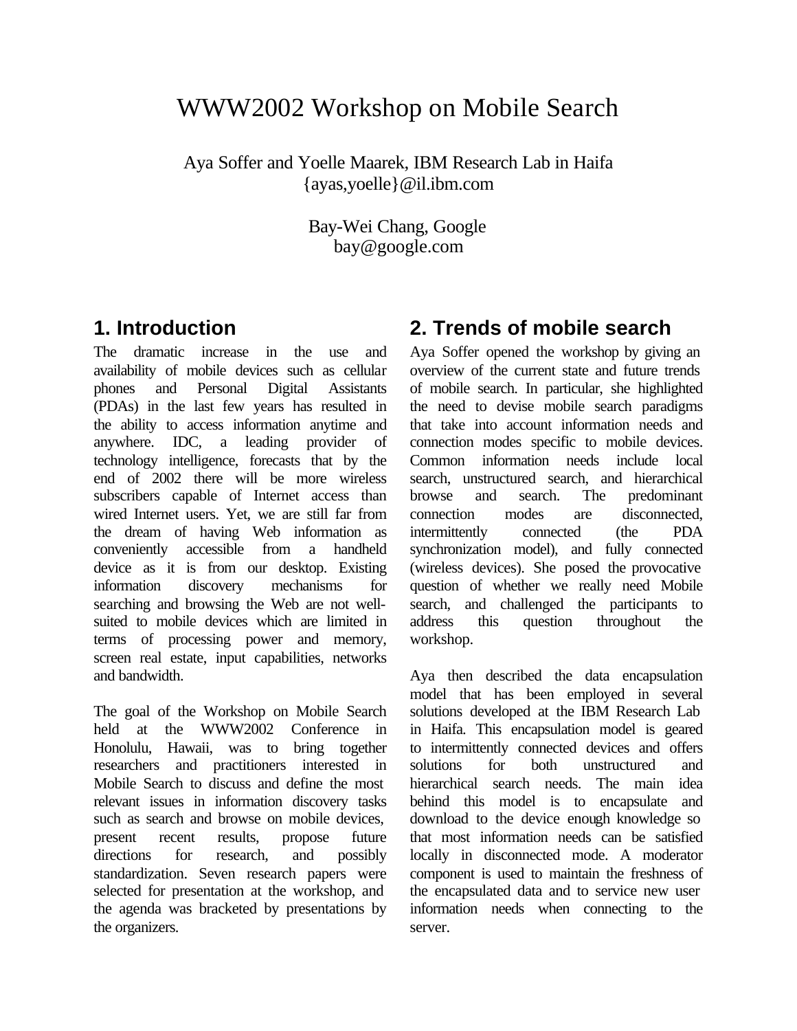# WWW2002 Workshop on Mobile Search

Aya Soffer and Yoelle Maarek, IBM Research Lab in Haifa {ayas,yoelle}@il.ibm.com

> Bay-Wei Chang, Google bay@google.com

#### **1. Introduction**

The dramatic increase in the use and availability of mobile devices such as cellular phones and Personal Digital Assistants (PDAs) in the last few years has resulted in the ability to access information anytime and anywhere. IDC, a leading provider of technology intelligence, forecasts that by the end of 2002 there will be more wireless subscribers capable of Internet access than wired Internet users. Yet, we are still far from the dream of having Web information as conveniently accessible from a handheld device as it is from our desktop. Existing information discovery mechanisms for searching and browsing the Web are not wellsuited to mobile devices which are limited in terms of processing power and memory, screen real estate, input capabilities, networks and bandwidth.

The goal of the Workshop on Mobile Search held at the WWW2002 Conference in Honolulu, Hawaii, was to bring together researchers and practitioners interested in Mobile Search to discuss and define the most relevant issues in information discovery tasks such as search and browse on mobile devices, present recent results, propose future directions for research, and possibly standardization. Seven research papers were selected for presentation at the workshop, and the agenda was bracketed by presentations by the organizers.

# **2. Trends of mobile search**

Aya Soffer opened the workshop by giving an overview of the current state and future trends of mobile search. In particular, she highlighted the need to devise mobile search paradigms that take into account information needs and connection modes specific to mobile devices. Common information needs include local search, unstructured search, and hierarchical browse and search. The predominant connection modes are disconnected, intermittently connected (the PDA synchronization model), and fully connected (wireless devices). She posed the provocative question of whether we really need Mobile search, and challenged the participants to address this question throughout the workshop.

Aya then described the data encapsulation model that has been employed in several solutions developed at the IBM Research Lab in Haifa. This encapsulation model is geared to intermittently connected devices and offers solutions for both unstructured and hierarchical search needs. The main idea behind this model is to encapsulate and download to the device enough knowledge so that most information needs can be satisfied locally in disconnected mode. A moderator component is used to maintain the freshness of the encapsulated data and to service new user information needs when connecting to the server.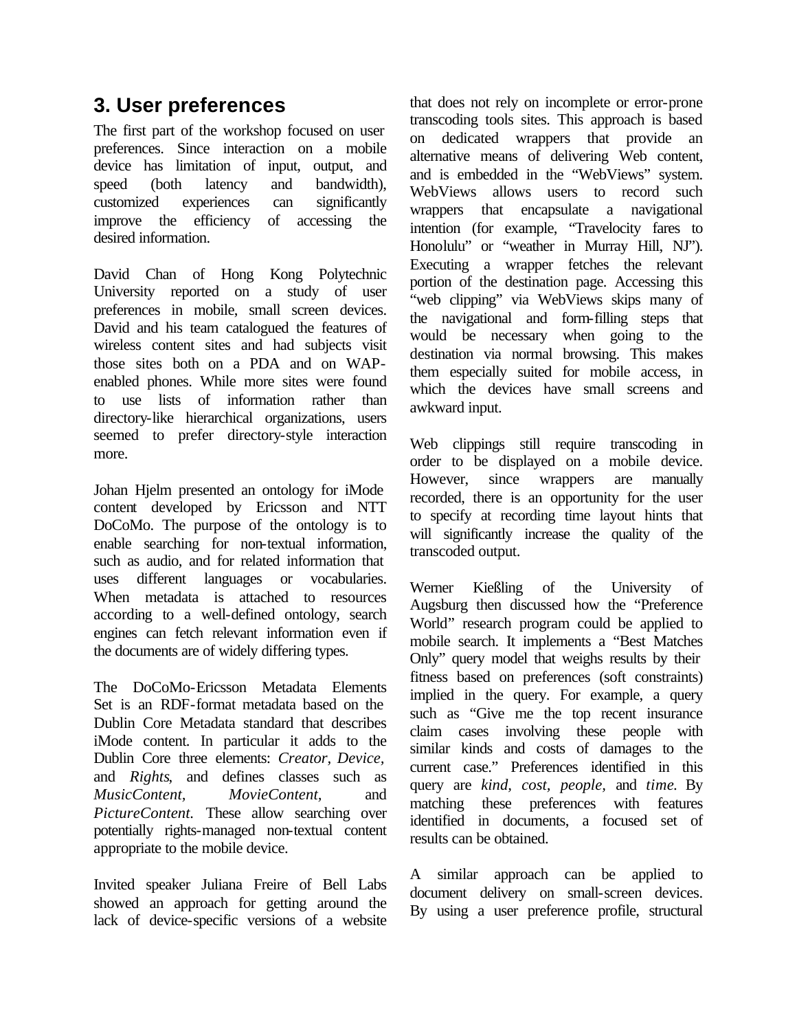### **3. User preferences**

The first part of the workshop focused on user preferences. Since interaction on a mobile device has limitation of input, output, and speed (both latency and bandwidth), customized experiences can significantly improve the efficiency of accessing the desired information.

David Chan of Hong Kong Polytechnic University reported on a study of user preferences in mobile, small screen devices. David and his team catalogued the features of wireless content sites and had subjects visit those sites both on a PDA and on WAPenabled phones. While more sites were found to use lists of information rather than directory-like hierarchical organizations, users seemed to prefer directory-style interaction more.

Johan Hjelm presented an ontology for iMode content developed by Ericsson and NTT DoCoMo. The purpose of the ontology is to enable searching for non-textual information, such as audio, and for related information that uses different languages or vocabularies. When metadata is attached to resources according to a well-defined ontology, search engines can fetch relevant information even if the documents are of widely differing types.

The DoCoMo-Ericsson Metadata Elements Set is an RDF-format metadata based on the Dublin Core Metadata standard that describes iMode content. In particular it adds to the Dublin Core three elements: *Creator, Device,*  and *Rights*, and defines classes such as *MusicContent, MovieContent,* and *PictureContent.* These allow searching over potentially rights-managed non-textual content appropriate to the mobile device.

Invited speaker Juliana Freire of Bell Labs showed an approach for getting around the lack of device-specific versions of a website that does not rely on incomplete or error-prone transcoding tools sites. This approach is based on dedicated wrappers that provide an alternative means of delivering Web content, and is embedded in the "WebViews" system. WebViews allows users to record such wrappers that encapsulate a navigational intention (for example, "Travelocity fares to Honolulu" or "weather in Murray Hill, NJ"). Executing a wrapper fetches the relevant portion of the destination page. Accessing this "web clipping" via WebViews skips many of the navigational and form-filling steps that would be necessary when going to the destination via normal browsing. This makes them especially suited for mobile access, in which the devices have small screens and awkward input.

Web clippings still require transcoding in order to be displayed on a mobile device. However, since wrappers are manually recorded, there is an opportunity for the user to specify at recording time layout hints that will significantly increase the quality of the transcoded output.

Werner Kießling of the University of Augsburg then discussed how the "Preference World" research program could be applied to mobile search. It implements a "Best Matches Only" query model that weighs results by their fitness based on preferences (soft constraints) implied in the query. For example, a query such as "Give me the top recent insurance claim cases involving these people with similar kinds and costs of damages to the current case." Preferences identified in this query are *kind, cost, people,* and *time*. By matching these preferences with features identified in documents, a focused set of results can be obtained.

A similar approach can be applied to document delivery on small-screen devices. By using a user preference profile, structural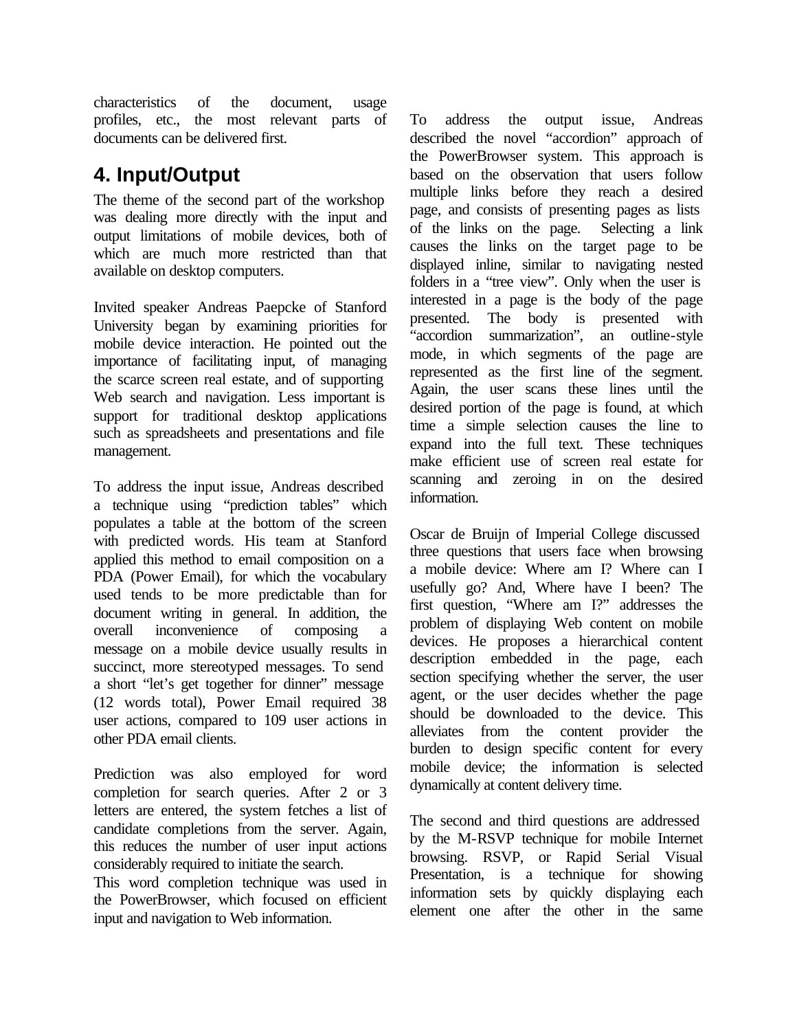characteristics of the document, usage profiles, etc., the most relevant parts of documents can be delivered first.

#### **4. Input/Output**

The theme of the second part of the workshop was dealing more directly with the input and output limitations of mobile devices, both of which are much more restricted than that available on desktop computers.

Invited speaker Andreas Paepcke of Stanford University began by examining priorities for mobile device interaction. He pointed out the importance of facilitating input, of managing the scarce screen real estate, and of supporting Web search and navigation. Less important is support for traditional desktop applications such as spreadsheets and presentations and file management.

To address the input issue, Andreas described a technique using "prediction tables" which populates a table at the bottom of the screen with predicted words. His team at Stanford applied this method to email composition on a PDA (Power Email), for which the vocabulary used tends to be more predictable than for document writing in general. In addition, the overall inconvenience of composing a message on a mobile device usually results in succinct, more stereotyped messages. To send a short "let's get together for dinner" message (12 words total), Power Email required 38 user actions, compared to 109 user actions in other PDA email clients.

Prediction was also employed for word completion for search queries. After 2 or 3 letters are entered, the system fetches a list of candidate completions from the server. Again, this reduces the number of user input actions considerably required to initiate the search.

This word completion technique was used in the PowerBrowser, which focused on efficient input and navigation to Web information.

To address the output issue, Andreas described the novel "accordion" approach of the PowerBrowser system. This approach is based on the observation that users follow multiple links before they reach a desired page, and consists of presenting pages as lists of the links on the page. Selecting a link causes the links on the target page to be displayed inline, similar to navigating nested folders in a "tree view". Only when the user is interested in a page is the body of the page presented. The body is presented with "accordion summarization", an outline-style mode, in which segments of the page are represented as the first line of the segment. Again, the user scans these lines until the desired portion of the page is found, at which time a simple selection causes the line to expand into the full text. These techniques make efficient use of screen real estate for scanning and zeroing in on the desired information.

Oscar de Bruijn of Imperial College discussed three questions that users face when browsing a mobile device: Where am I? Where can I usefully go? And, Where have I been? The first question, "Where am I?" addresses the problem of displaying Web content on mobile devices. He proposes a hierarchical content description embedded in the page, each section specifying whether the server, the user agent, or the user decides whether the page should be downloaded to the device. This alleviates from the content provider the burden to design specific content for every mobile device; the information is selected dynamically at content delivery time.

The second and third questions are addressed by the M-RSVP technique for mobile Internet browsing. RSVP, or Rapid Serial Visual Presentation, is a technique for showing information sets by quickly displaying each element one after the other in the same